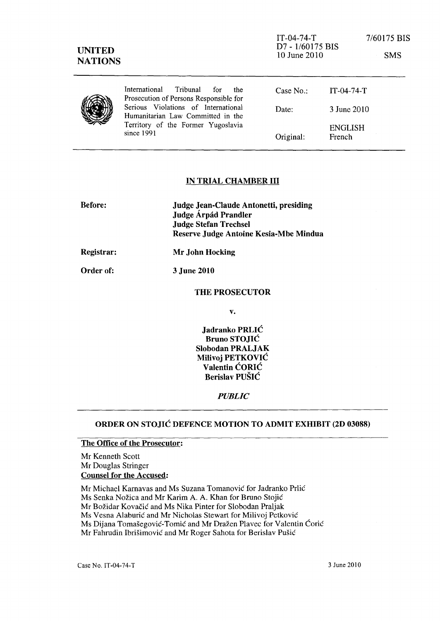| <b>UNITED</b><br><b>NATIONS</b> |                                                                                                                              | $IT-04-74-T$<br>D7 - 1/60175 BIS<br>10 June 2010 |                          | 7/60175 BIS<br><b>SMS</b> |
|---------------------------------|------------------------------------------------------------------------------------------------------------------------------|--------------------------------------------------|--------------------------|---------------------------|
|                                 | International<br>Tribunal<br>the<br>for<br>Prosecution of Persons Responsible for                                            | Case $No.$ :                                     | $IT-04-74-T$             |                           |
|                                 | Serious Violations of International<br>Humanitarian Law Committed in the<br>Territory of the Former Yugoslavia<br>since 1991 | Date:                                            | 3 June 2010              |                           |
|                                 |                                                                                                                              | Original:                                        | <b>ENGLISH</b><br>French |                           |

### IN TRIAL CHAMBER III

| <b>Before:</b> | Judge Jean-Claude Antonetti, presiding<br>Judge Árpád Prandler<br><b>Judge Stefan Trechsel</b><br>Reserve Judge Antoine Kesia-Mbe Mindua |
|----------------|------------------------------------------------------------------------------------------------------------------------------------------|
| Registrar:     | Mr John Hocking                                                                                                                          |

Order of: 3 June 2010

#### THE PROSECUTOR

v.

Jadranko PRLIC Bruno STOJIC Slobodan PRALJAK Milivoj PETKOVIC Valentin CORIC Berislav PUSIC

*PUBLIC* 

### ORDER ON STOJIC DEFENCE MOTION TO ADMIT EXHIBIT (2D 03088)

## The Office of the Prosecutor:

Mr Kenneth Scott Mr Douglas Stringer Counsel for the Accused:

Mr Michael Karnavas and Ms Suzana Tomanovic for Jadranko Prlic

Ms Senka Nožica and Mr Karim A. A. Khan for Bruno Stojić

Mr Božidar Kovačić and Ms Nika Pinter for Slobodan Praljak

Ms Vesna Alaburić and Mr Nicholas Stewart for Milivoj Petković

Ms Dijana Tomašegović-Tomić and Mr Dražen Plavec for Valentin Ćorić

Mr Fahrudin Ibrisimovic and Mr Roger Sahota for Berislav Pusic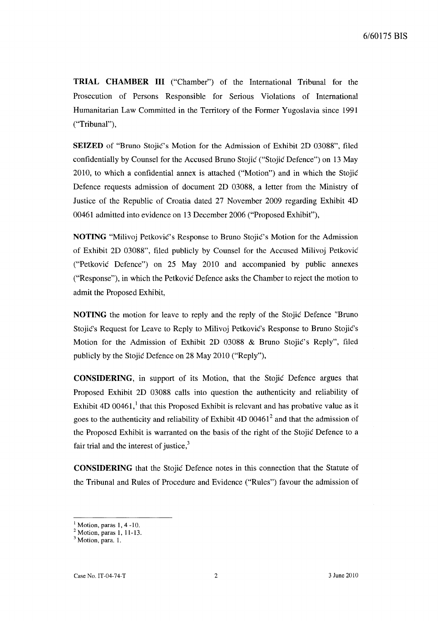**TRIAL CHAMBER III** ("Chamber") of the International Tribunal for the Prosecution of Persons Responsible for Serious Violations of International Humanitarian Law Committed in the Territory of the Former Yugoslavia since 1991 ("Tribunal"),

**SEIZED** of "Bruno Stojic's Motion for the Admission of Exhibit 2D 03088", filed confidentially by Counsel for the Accused Bruno Stojic ("Stojic Defence") on 13 May 2010, to which a confidential annex is attached ("Motion") and in which the Stojic Defence requests admission of document 20 03088, a letter from the Ministry of Justice of the Republic of Croatia dated 27 November 2009 regarding Exhibit 40 00461 admitted into evidence on 13 December 2006 ("Proposed Exhibit"),

**NOTING** "Milivoj Petkovic's Response to Bruno Stojic's Motion for the Admission of Exhibit 2D 03088", filed publicly by Counsel for the Accused Milivoj Petkovic ("Petkovic Defence") on 25 May 2010 and accompanied by public annexes ("Response"), in which the Petkovic Defence asks the Chamber to reject the motion to admit the Proposed Exhibit,

**NOTING** the motion for leave to reply and the reply of the Stojic Defence "Bruno Stojic's Request for Leave to Reply to Milivoj Petkovic's Response to Bruno Stojic's Motion for the Admission of Exhibit 2D 03088 & Bruno Stojic's Reply", filed publicly by the Stojic Defence on 28 May 2010 ("Reply"),

**CONSIDERING,** in support of its Motion, that the Stojic Defence argues that Proposed Exhibit 20 03088 calls into question the authenticity and reliability of Exhibit 4D 00461, $<sup>1</sup>$  that this Proposed Exhibit is relevant and has probative value as it</sup> goes to the authenticity and reliability of Exhibit  $4D 00461<sup>2</sup>$  and that the admission of the Proposed Exhibit is warranted on the basis of the right of the Stojic Defence to a fair trial and the interest of justice, $3$ 

**CONSIDERING** that the Stojic Defence notes in this connection that the Statute of the Tribunal and Rules of Procedure and Evidence ("Rules") favour the admission of

 $<sup>1</sup>$  Motion, paras 1, 4 -10.</sup>

<sup>2</sup> Motion, paras 1, 11-13.

<sup>&</sup>lt;sup>3</sup> Motion, para. 1.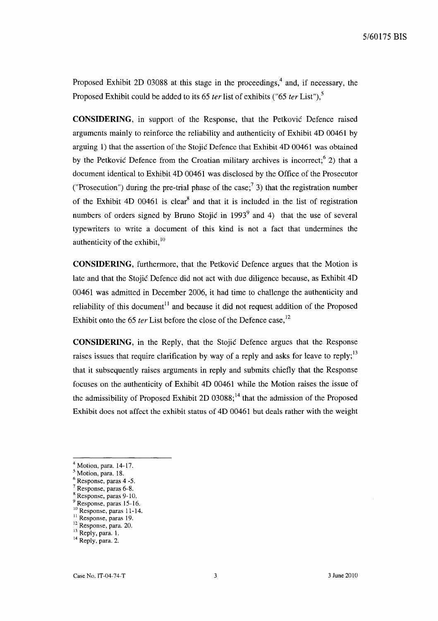Proposed Exhibit 2D 03088 at this stage in the proceedings,<sup>4</sup> and, if necessary, the Proposed Exhibit could be added to its 65 *ter* list of exhibits ("65 *ter* List"),5

**CONSIDERING,** in support of the Response, that the Petkovic Defence raised arguments mainly to reinforce the reliability and authenticity of Exhibit 4D 00461 by arguing 1) that the assertion of the Stojic Defence that Exhibit 4D 00461 was obtained by the Petković Defence from the Croatian military archives is incorrect;  $6$  2) that a document identical to Exhibit 4D 00461 was disclosed by the Office of the Prosecutor ("Prosecution") during the pre-trial phase of the case;<sup>7</sup> 3) that the registration number of the Exhibit 4D 00461 is clear<sup>8</sup> and that it is included in the list of registration numbers of orders signed by Bruno Stojić in  $1993<sup>9</sup>$  and 4) that the use of several typewriters to write a document of this kind is not a fact that undermines the authenticity of the exhibit,  $10$ 

**CONSIDERING,** furthermore, that the Petkovic Defence argues that the Motion is late and that the Stojic Defence did not act with due diligence because, as Exhibit 4D 00461 was admitted in December 2006, it had time to challenge the authenticity and reliability of this document<sup>11</sup> and because it did not request addition of the Proposed Exhibit onto the 65 *ter* List before the close of the Defence case,<sup>12</sup>

**CONSIDERING,** in the Reply, that the Stojic Defence argues that the Response raises issues that require clarification by way of a reply and asks for leave to reply;  $13$ that it subsequently raises arguments in reply and submits chiefly that the Response focuses on the authenticity of Exhibit 4D 00461 while the Motion raises the issue of the admissibility of Proposed Exhibit 2D  $03088$ ;<sup>14</sup> that the admission of the Proposed Exhibit does not affect the exhibit status of 4D 00461 but deals rather with the weight

Response, paras 6-8.

<sup>9</sup> Response, paras 15-16. 10 Response, paras 11-14.

 $<sup>4</sup>$  Motion, para. 14-17.</sup>

<sup>&</sup>lt;sup>5</sup> Motion, para. 18.

<sup>6</sup> Response, paras 4 -5.

Response, paras 9-10.

<sup>&</sup>lt;sup>11</sup> Response, paras 19.

<sup>&</sup>lt;sup>12</sup> Response, para. 20.

<sup>&</sup>lt;sup>13</sup> Reply, para. 1.

<sup>&</sup>lt;sup>14</sup> Reply, para. 2.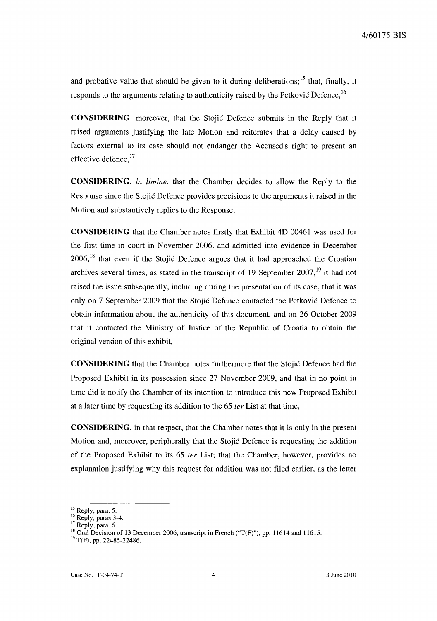and probative value that should be given to it during deliberations;  $15$  that, finally, it responds to the arguments relating to authenticity raised by the Petkovic Defence, <sup>16</sup>

**CONSIDERING,** moreover, that the Stojic Defence submits in the Reply that it raised arguments justifying the late Motion and reiterates that a delay caused by factors external to its case should not endanger the Accused's right to present an effective defence,  $^{17}$ 

**CONSIDERING,** *in limine,* that the Chamber decides to allow the Reply to the Response since the Stojic Defence provides precisions to the arguments it raised in the Motion and substantively replies to the Response,

**CONSIDERING** that the Chamber notes firstly that Exhibit 4D 00461 was used for the first time in court in November 2006, and admitted into evidence in December  $2006$ ;<sup>18</sup> that even if the Stojic Defence argues that it had approached the Croatian archives several times, as stated in the transcript of 19 September  $2007$ ,<sup>19</sup> it had not raised the issue subsequently, including during the presentation of its case; that it was only on 7 September 2009 that the Stojic Defence contacted the Petkovic Defence to obtain information about the authenticity of this document, and on 26 October 2009 that it contacted the Ministry of Justice of the Republic of Croatia to obtain the original version of this exhibit,

**CONSIDERING** that the Chamber notes furthermore that the Stojic Defence had the Proposed Exhibit in its possession since 27 November 2009, and that in no point in time did it notify the Chamber of its intention to introduce this new Proposed Exhibit at a later time by requesting its addition to the 65 *ter* List at that time,

**CONSIDERING,** in that respect, that the Chamber notes that it is only in the present Motion and, moreover, peripherally that the Stojić Defence is requesting the addition of the Proposed Exhibit to its 65 *ter* List; that the Chamber, however, provides no explanation justifying why this request for addition was not filed earlier, as the letter

<sup>&</sup>lt;sup>15</sup> Reply, para. 5.

<sup>&</sup>lt;sup>16</sup> Reply, paras 3-4.

 $17$  Reply, para. 6.

<sup>&</sup>lt;sup>18</sup> Oral Decision of 13 December 2006, transcript in French (" $T(F)$ "), pp. 11614 and 11615.

 $^{19}$  T(F), pp. 22485-22486.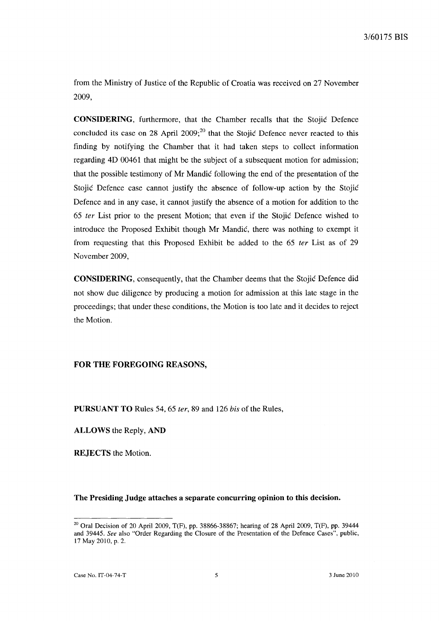from the Ministry of Justice of the Republic of Croatia was received on 27 November 2009,

**CONSIDERING,** furthermore, that the Chamber recalls that the Stojic Defence concluded its case on 28 April 2009; $^{20}$  that the Stojic Defence never reacted to this finding by notifying the Chamber that it had taken steps to collect information regarding 4D 00461 that might be the subject of a subsequent motion for admission; that the possible testimony of Mr Mandic following the end of the presentation of the Stojic Defence case cannot justify the absence of follow-up action by the Stojic Defence and in any case, it cannot justify the absence of a motion for addition to the *65* fer List prior to the present Motion; that even if the Stojic Defence wished to introduce the Proposed Exhibit though Mr Mandic, there was nothing to exempt it from requesting that this Proposed Exhibit be added to the 65 fer List as of 29 November 2009,

**CONSIDERING,** consequently, that the Chamber deems that the Stojic Defence did not show due diligence by producing a motion for admission at this late stage in the proceedings; that under these conditions, the Motion is too late and it decides to reject the Motion.

# **FOR THE FOREGOING REASONS,**

**PURSUANT TO** Rules 54, 65 fer, 89 and 126 his of the Rules,

**ALLOWS** the Reply, **AND** 

**REJECTS** the Motion.

#### **The Presiding Judge attaches a separate concurring opinion to this decision.**

 $20$  Oral Decision of 20 April 2009, T(F), pp. 38866-38867; hearing of 28 April 2009, T(F), pp. 39444 and 39445. *See* also "Order Regarding the Closure of the Presentation of the Defence Cases", public, 17 May 2010, p. 2.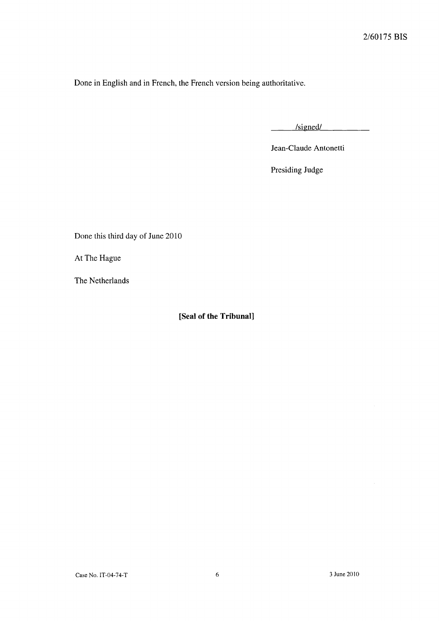Done in English and in French, the French version being authoritative.

/signed/

Jean-Claude Antonetti

Presiding Judge

Done this third day of June 2010

At The Hague

The Netherlands

**[Seal of the Tribunal]**